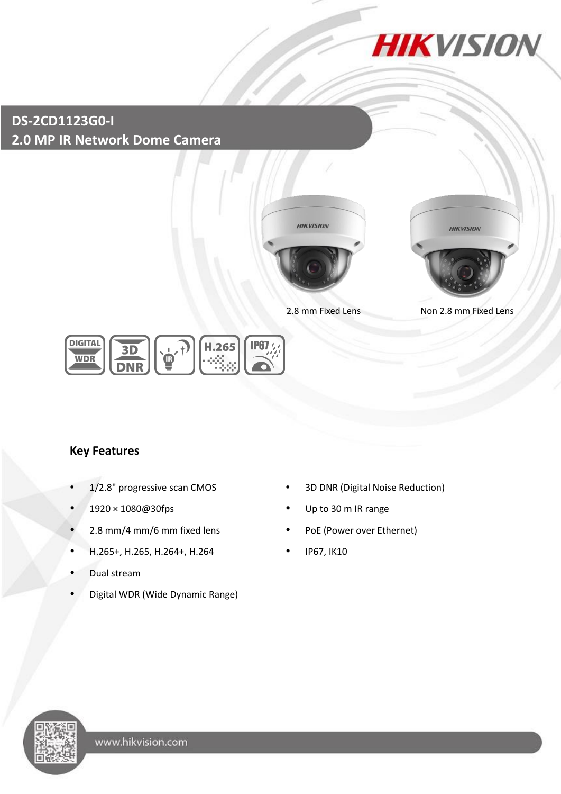

**DS-2CD1123G0-I 2.0 MP IR Network Dome Camera**





2.8 mm Fixed Lens Non 2.8 mm Fixed Lens



## **Key Features**

- 
- 
- 2.8 mm/4 mm/6 mm fixed lens PoE (Power over Ethernet)
- H.265+, H.265, H.264+, H.264 IP67, IK10
- Dual stream
- Digital WDR (Wide Dynamic Range)
- 1/2.8" progressive scan CMOS **•** 3D DNR (Digital Noise Reduction)
- 1920 × 1080@30fps Up to 30 m IR range
	-
	-

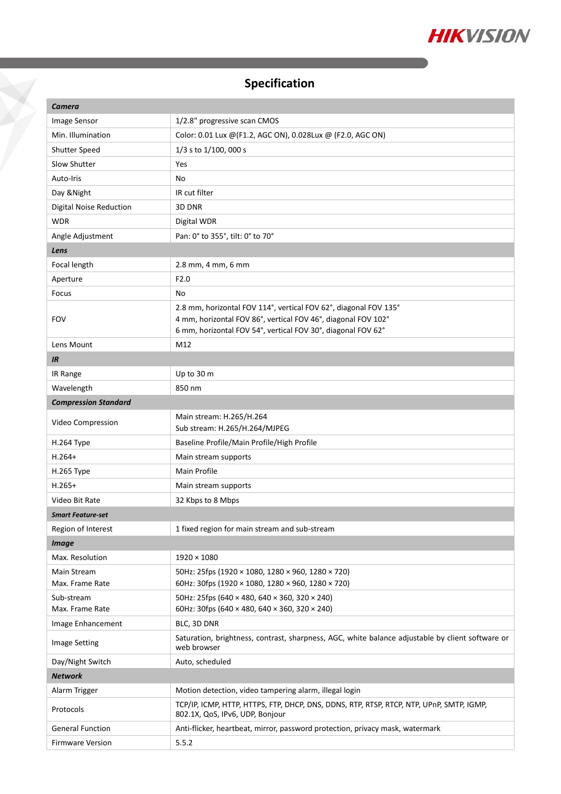

# **Specification**

| Camera                         |                                                                                                                                   |  |
|--------------------------------|-----------------------------------------------------------------------------------------------------------------------------------|--|
| Image Sensor                   | 1/2.8" progressive scan CMOS                                                                                                      |  |
| Min. Illumination              | Color: 0.01 Lux @(F1.2, AGC ON), 0.028Lux @ (F2.0, AGC ON)                                                                        |  |
| Shutter Speed                  | 1/3 s to 1/100, 000 s                                                                                                             |  |
| Slow Shutter                   | Yes                                                                                                                               |  |
| Auto-Iris                      | No                                                                                                                                |  |
| Day & Night                    | IR cut filter                                                                                                                     |  |
| <b>Digital Noise Reduction</b> | 3D DNR                                                                                                                            |  |
| WDR                            | Digital WDR                                                                                                                       |  |
| Angle Adjustment               | Pan: 0° to 355°, tilt: 0° to 70°                                                                                                  |  |
| Lens                           |                                                                                                                                   |  |
| Focal length                   | 2.8 mm, 4 mm, 6 mm                                                                                                                |  |
| Aperture                       | F2.0                                                                                                                              |  |
| Focus                          | No                                                                                                                                |  |
| <b>FOV</b>                     | 2.8 mm, horizontal FOV 114°, vertical FOV 62°, diagonal FOV 135°<br>4 mm, horizontal FOV 86°, vertical FOV 46°, diagonal FOV 102° |  |
|                                | 6 mm, horizontal FOV 54°, vertical FOV 30°, diagonal FOV 62°                                                                      |  |
| Lens Mount                     | M12                                                                                                                               |  |
| IR                             |                                                                                                                                   |  |
| IR Range                       | Up to 30 m                                                                                                                        |  |
| Wavelength                     | 850 nm                                                                                                                            |  |
| <b>Compression Standard</b>    |                                                                                                                                   |  |
| Video Compression              | Main stream: H.265/H.264<br>Sub stream: H.265/H.264/MJPEG                                                                         |  |
| H.264 Type                     | Baseline Profile/Main Profile/High Profile                                                                                        |  |
| $H.264+$                       | Main stream supports                                                                                                              |  |
| H.265 Type                     | Main Profile                                                                                                                      |  |
| $H.265+$                       | Main stream supports                                                                                                              |  |
| Video Bit Rate                 | 32 Kbps to 8 Mbps                                                                                                                 |  |
| <b>Smart Feature-set</b>       |                                                                                                                                   |  |
| Region of Interest             | 1 fixed region for main stream and sub-stream                                                                                     |  |
| <b>Image</b>                   |                                                                                                                                   |  |
| Max. Resolution                | $1920 \times 1080$                                                                                                                |  |
| Main Stream                    | 50Hz: 25fps (1920 × 1080, 1280 × 960, 1280 × 720)                                                                                 |  |
| Max. Frame Rate                | 60Hz: 30fps (1920 × 1080, 1280 × 960, 1280 × 720)                                                                                 |  |
| Sub-stream                     | 50Hz: 25fps (640 × 480, 640 × 360, 320 × 240)                                                                                     |  |
| Max. Frame Rate                | 60Hz: 30fps (640 × 480, 640 × 360, 320 × 240)                                                                                     |  |
| Image Enhancement              | BLC, 3D DNR                                                                                                                       |  |
| <b>Image Setting</b>           | Saturation, brightness, contrast, sharpness, AGC, white balance adjustable by client software or<br>web browser                   |  |
| Day/Night Switch               | Auto, scheduled                                                                                                                   |  |
| <b>Network</b>                 |                                                                                                                                   |  |
| Alarm Trigger                  | Motion detection, video tampering alarm, illegal login                                                                            |  |
| Protocols                      | TCP/IP, ICMP, HTTP, HTTPS, FTP, DHCP, DNS, DDNS, RTP, RTSP, RTCP, NTP, UPnP, SMTP, IGMP,<br>802.1X, QoS, IPv6, UDP, Bonjour       |  |
| <b>General Function</b>        | Anti-flicker, heartbeat, mirror, password protection, privacy mask, watermark                                                     |  |
| <b>Firmware Version</b>        | 5.5.2                                                                                                                             |  |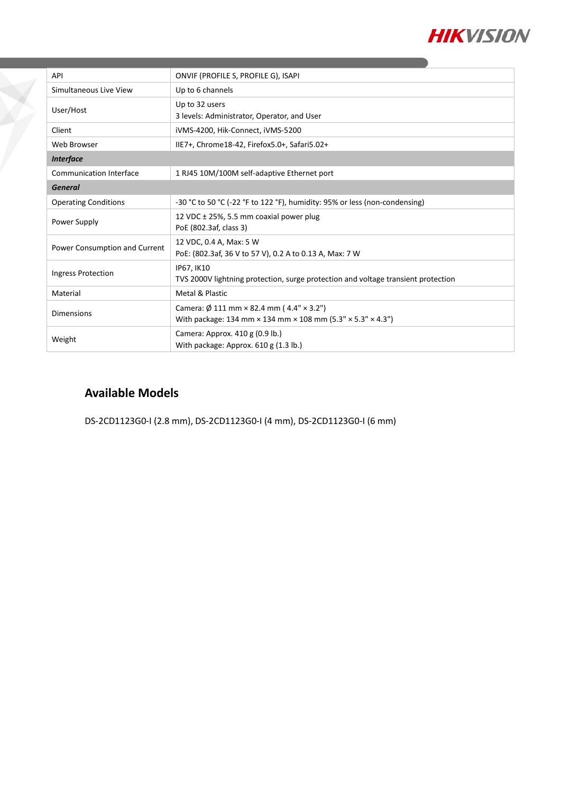

| API                            | ONVIF (PROFILE S, PROFILE G), ISAPI                                                                                                                           |  |
|--------------------------------|---------------------------------------------------------------------------------------------------------------------------------------------------------------|--|
| Simultaneous Live View         | Up to 6 channels                                                                                                                                              |  |
| User/Host                      | Up to 32 users<br>3 levels: Administrator, Operator, and User                                                                                                 |  |
| Client                         | iVMS-4200, Hik-Connect, iVMS-5200                                                                                                                             |  |
| Web Browser                    | IIE7+, Chrome18-42, Firefox5.0+, Safari5.02+                                                                                                                  |  |
| <b>Interface</b>               |                                                                                                                                                               |  |
| <b>Communication Interface</b> | 1 RJ45 10M/100M self-adaptive Ethernet port                                                                                                                   |  |
| <b>General</b>                 |                                                                                                                                                               |  |
| <b>Operating Conditions</b>    | -30 °C to 50 °C (-22 °F to 122 °F), humidity: 95% or less (non-condensing)                                                                                    |  |
| Power Supply                   | 12 VDC $\pm$ 25%, 5.5 mm coaxial power plug<br>PoE (802.3af, class 3)                                                                                         |  |
| Power Consumption and Current  | 12 VDC, 0.4 A, Max: 5 W<br>PoE: (802.3af, 36 V to 57 V), 0.2 A to 0.13 A, Max: 7 W                                                                            |  |
| Ingress Protection             | IP67, IK10<br>TVS 2000V lightning protection, surge protection and voltage transient protection                                                               |  |
| Material                       | Metal & Plastic                                                                                                                                               |  |
| <b>Dimensions</b>              | Camera: $\varnothing$ 111 mm $\times$ 82.4 mm (4.4" $\times$ 3.2")<br>With package: 134 mm $\times$ 134 mm $\times$ 108 mm (5.3" $\times$ 5.3" $\times$ 4.3") |  |
| Weight                         | Camera: Approx. 410 g (0.9 lb.)<br>With package: Approx. $610$ g (1.3 lb.)                                                                                    |  |

### **Available Models**

DS-2CD1123G0-I (2.8 mm), DS-2CD1123G0-I (4 mm), DS-2CD1123G0-I (6 mm)